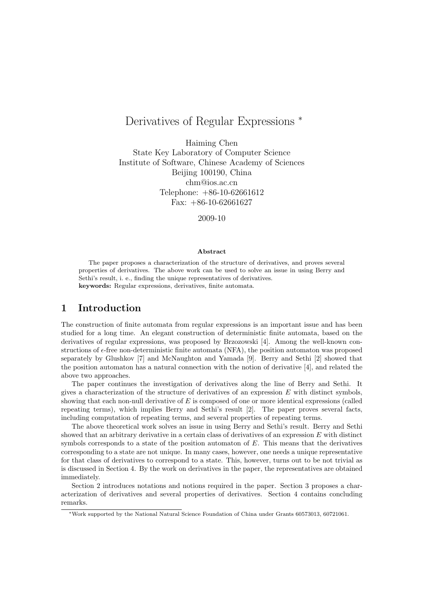# Derivatives of Regular Expressions *<sup>∗</sup>*

Haiming Chen State Key Laboratory of Computer Science Institute of Software, Chinese Academy of Sciences Beijing 100190, China chm@ios.ac.cn Telephone: +86-10-62661612 Fax:  $+86-10-62661627$ 

2009-10

#### **Abstract**

The paper proposes a characterization of the structure of derivatives, and proves several properties of derivatives. The above work can be used to solve an issue in using Berry and Sethi's result, i. e., finding the unique representatives of derivatives. **keywords:** Regular expressions, derivatives, finite automata.

# **1 Introduction**

The construction of finite automata from regular expressions is an important issue and has been studied for a long time. An elegant construction of deterministic finite automata, based on the derivatives of regular expressions, was proposed by Brzozowski [4]. Among the well-known constructions of *ϵ*-free non-deterministic finite automata (NFA), the position automaton was proposed separately by Glushkov [7] and McNaughton and Yamada [9]. Berry and Sethi [2] showed that the position automaton has a natural connection with the notion of derivative [4], and related the above two approaches.

The paper continues the investigation of derivatives along the line of Berry and Sethi. It gives a characterization of the structure of derivatives of an expression *E* with distinct symbols, showing that each non-null derivative of *E* is composed of one or more identical expressions (called repeating terms), which implies Berry and Sethi's result [2]. The paper proves several facts, including computation of repeating terms, and several properties of repeating terms.

The above theoretical work solves an issue in using Berry and Sethi's result. Berry and Sethi showed that an arbitrary derivative in a certain class of derivatives of an expression *E* with distinct symbols corresponds to a state of the position automaton of *E*. This means that the derivatives corresponding to a state are not unique. In many cases, however, one needs a unique representative for that class of derivatives to correspond to a state. This, however, turns out to be not trivial as is discussed in Section 4. By the work on derivatives in the paper, the representatives are obtained immediately.

Section 2 introduces notations and notions required in the paper. Section 3 proposes a characterization of derivatives and several properties of derivatives. Section 4 contains concluding remarks.

*<sup>∗</sup>*Work supported by the National Natural Science Foundation of China under Grants 60573013, 60721061.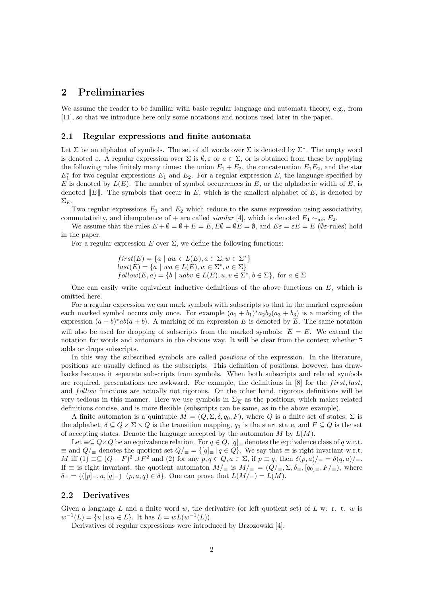# **2 Preliminaries**

We assume the reader to be familiar with basic regular language and automata theory, e.g., from [11], so that we introduce here only some notations and notions used later in the paper.

#### **2.1 Regular expressions and finite automata**

Let  $\Sigma$  be an alphabet of symbols. The set of all words over  $\Sigma$  is denoted by  $\Sigma^*$ . The empty word is denoted  $\varepsilon$ . A regular expression over  $\Sigma$  is  $\emptyset$ ,  $\varepsilon$  or  $a \in \Sigma$ , or is obtained from these by applying the following rules finitely many times: the union  $E_1 + E_2$ , the concatenation  $E_1E_2$ , and the star  $E_1^*$  for two regular expressions  $E_1$  and  $E_2$ . For a regular expression  $E$ , the language specified by *E* is denoted by  $L(E)$ . The number of symbol occurrences in *E*, or the alphabetic width of *E*, is denoted *∥E∥*. The symbols that occur in *E*, which is the smallest alphabet of *E*, is denoted by  $\Sigma$ *E*.

Two regular expressions  $E_1$  and  $E_2$  which reduce to the same expression using associativity, commutativity, and idempotence of + are called *similar* [4], which is denoted  $E_1 \sim_{aci} E_2$ .

We assume that the rules  $E + \emptyset = \emptyset + E = E$ ,  $E\emptyset = \emptyset E = \emptyset$ , and  $E\varepsilon = \varepsilon E = E$  ( $\emptyset \varepsilon$ -rules) hold in the paper.

For a regular expression  $E$  over  $\Sigma$ , we define the following functions:

$$
first(E) = \{a \mid aw \in L(E), a \in \Sigma, w \in \Sigma^*\}
$$
  

$$
last(E) = \{a \mid wa \in L(E), w \in \Sigma^*, a \in \Sigma\}
$$
  

$$
follow(E, a) = \{b \mid uabv \in L(E), u, v \in \Sigma^*, b \in \Sigma\}, \text{ for } a \in \Sigma
$$

One can easily write equivalent inductive definitions of the above functions on *E*, which is omitted here.

For a regular expression we can mark symbols with subscripts so that in the marked expression each marked symbol occurs only once. For example  $(a_1 + b_1)^* a_2 b_2 (a_3 + b_3)$  is a marking of the expression  $(a + b)^*ab(a + b)$ . A marking of an expression *E* is denoted by *E*. The same notation will also be used for dropping of subscripts from the marked symbols:  $\overline{\overline{E}} = E$ . We extend the notation for words and automata in the obvious way. It will be clear from the context whether *·* adds or drops subscripts.

In this way the subscribed symbols are called *positions* of the expression. In the literature, positions are usually defined as the subscripts. This definition of positions, however, has drawbacks because it separate subscripts from symbols. When both subscripts and related symbols are required, presentations are awkward. For example, the definitions in [8] for the *first, last*, and *follow* functions are actually not rigorous. On the other hand, rigorous definitions will be very tedious in this manner. Here we use symbols in  $\Sigma_{\overline{E}}$  as the positions, which makes related definitions concise, and is more flexible (subscripts can be same, as in the above example).

A finite automaton is a quintuple  $M = (Q, \Sigma, \delta, q_0, F)$ , where *Q* is a finite set of states,  $\Sigma$  is the alphabet,  $\delta \subseteq Q \times \Sigma \times Q$  is the transition mapping,  $q_0$  is the start state, and  $F \subseteq Q$  is the set of accepting states. Denote the language accepted by the automaton *M* by *L*(*M*).

Let  $\equiv\subseteq Q\times Q$  be an equivalence relation. For  $q\in Q$ ,  $[q]$  $\equiv$  denotes the equivalence class of *q* w.r.t.  $\equiv$  and  $Q/$ <sub>≡</sub> denotes the quotient set  $Q/$ <sub>≡</sub> = { $[q]$ <sub>≡</sub> |  $q \in Q$ }. We say that  $\equiv$  is right invariant w.r.t. M iff  $(1) \equiv \subseteq (Q - F)^2 \cup F^2$  and  $(2)$  for any  $p, q \in Q, a \in \Sigma$ , if  $p \equiv q$ , then  $\delta(p, a) / \equiv \delta(q, a) / \equiv \Sigma$ . If  $\equiv$  is right invariant, the quotient automaton  $M/\equiv$  is  $M/\equiv$   $(Q/\equiv, \Sigma, \delta_{\equiv}, [q_0]_{\equiv}, F/\equiv)$ , where  $\delta$ <sup> $\equiv$ </sup> = {( $[p]$ <sub> $\equiv$ </sub>, *a*,  $[q]$ <sub> $\equiv$ </sub>) | (*p, a, q*)  $\in$   $\delta$ }. One can prove that  $L(M/_{\equiv}) = L(M)$ .

#### **2.2 Derivatives**

Given a language *L* and a finite word *w*, the derivative (or left quotient set) of *L* w. r. t. *w* is  $w^{-1}(L) = \{u \mid wu \in L\}$ . It has  $L = wL(w^{-1}(L))$ .

Derivatives of regular expressions were introduced by Brzozowski [4].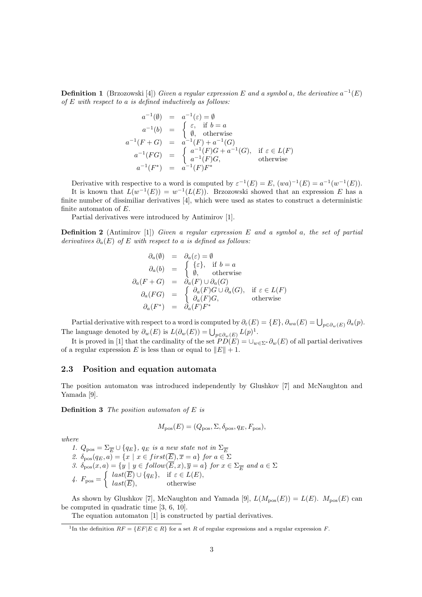**Definition 1** (Brzozowski [4]) *Given a regular expression*  $E$  *and a symbol a, the derivative*  $a^{-1}(E)$ *of E with respect to a is defined inductively as follows:*

$$
a^{-1}(\emptyset) = a^{-1}(\varepsilon) = \emptyset
$$
  
\n
$$
a^{-1}(b) = \begin{cases} \varepsilon, & \text{if } b = a \\ \emptyset, & \text{otherwise} \end{cases}
$$
  
\n
$$
a^{-1}(F+G) = a^{-1}(F) + a^{-1}(G)
$$
  
\n
$$
a^{-1}(FG) = \begin{cases} a^{-1}(F)G + a^{-1}(G), & \text{if } \varepsilon \in L(F) \\ a^{-1}(F)G, & \text{otherwise} \end{cases}
$$
  
\n
$$
a^{-1}(F^*) = a^{-1}(F)F^*
$$

Derivative with respective to a word is computed by  $\varepsilon^{-1}(E) = E$ ,  $(wa)^{-1}(E) = a^{-1}(w^{-1}(E))$ . It is known that  $L(w^{-1}(E)) = w^{-1}(L(E))$ . Brzozowski showed that an expression *E* has a finite number of dissimiliar derivatives [4], which were used as states to construct a deterministic finite automaton of *E*.

Partial derivatives were introduced by Antimirov [1].

**Definition 2** (Antimirov [1]) *Given a regular expression E and a symbol a, the set of partial derivatives*  $\partial_a(E)$  *of E with respect to a is defined as follows:* 

$$
\begin{array}{rcl}\n\partial_a(\emptyset) & = & \partial_a(\varepsilon) = \emptyset \\
\partial_a(b) & = & \begin{cases}\n\{\varepsilon\}, & \text{if } b = a \\
\emptyset, & \text{otherwise}\n\end{cases} \\
\partial_a(F+G) & = & \partial_a(F) \cup \partial_a(G) \\
\partial_a(FG) & = & \begin{cases}\n\partial_a(F)G \cup \partial_a(G), & \text{if } \varepsilon \in L(F) \\
\partial_a(F)G, & \text{otherwise}\n\end{cases} \\
\partial_a(F^*) & = & \partial_a(F)F^*\n\end{array}
$$

Partial derivative with respect to a word is computed by  $\partial_{\varepsilon}(E) = \{E\}$ ,  $\partial_{wa}(E) = \bigcup_{p \in \partial_w(E)} \partial_a(p)$ . The language denoted by  $\partial_w(E)$  is  $L(\partial_w(E)) = \bigcup_{p \in \partial_w(E)} L(p)^1$ .

It is proved in [1] that the cardinality of the set  $PD(E) = \bigcup_{w \in \Sigma^*} \partial_w(E)$  of all partial derivatives of a regular expression *E* is less than or equal to  $||E|| + 1$ .

#### **2.3 Position and equation automata**

The position automaton was introduced independently by Glushkov [7] and McNaughton and Yamada [9].

**Definition 3** *The position automaton of E is*

$$
M_{\text{pos}}(E) = (Q_{\text{pos}}, \Sigma, \delta_{\text{pos}}, q_E, F_{\text{pos}}),
$$

*where*

*1.*  $Q_{\text{pos}} = \Sigma_{\overline{E}} \cup \{q_E\}$ ,  $q_E$  *is a new state not in*  $\Sigma_{\overline{E}}$ 2.  $\delta_{\text{pos}}(q_E, a) = \{x \mid x \in \text{first}(E), \overline{x} = a\}$  for  $a \in \Sigma$ *3.*  $\delta_{\text{pos}}(x, a) = \{y \mid y \in follow(E, x), \overline{y} = a\}$  for  $x \in \Sigma_{\overline{E}}$  and  $a \in \Sigma$  $4. F_{\text{pos}} =$  $\int$  *last*( $\overline{E}$ )  $\cup$  { $q_E$ }, if  $\varepsilon \in L(E)$ , *last*(*E*)*,* otherwise

As shown by Glushkov [7], McNaughton and Yamada [9],  $L(M_{\text{pos}}(E)) = L(E)$ .  $M_{\text{pos}}(E)$  can be computed in quadratic time [3, 6, 10].

The equation automaton [1] is constructed by partial derivatives.

<sup>&</sup>lt;sup>1</sup>In the definition  $RF = \{ EF | E \in R \}$  for a set *R* of regular expressions and a regular expression *F*.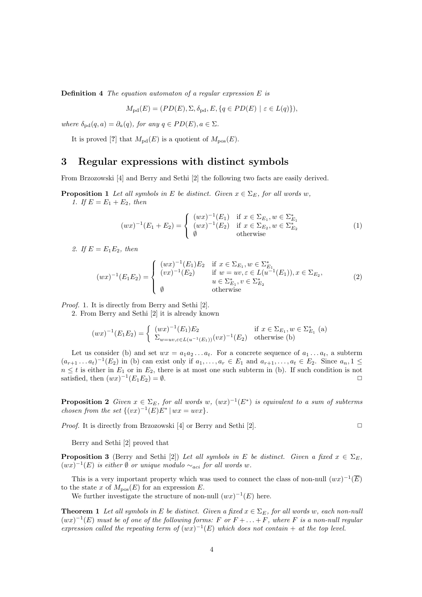**Definition 4** *The equation automaton of a regular expression E is*

$$
M_{\text{pd}}(E) = (PD(E), \Sigma, \delta_{\text{pd}}, E, \{q \in PD(E) \mid \varepsilon \in L(q)\}),
$$

*where*  $\delta_{\text{pd}}(q, a) = \partial_a(q)$ *, for any*  $q \in PD(E)$ *, a*  $\in \Sigma$ *.* 

It is proved [?] that  $M_{\text{pd}}(E)$  is a quotient of  $M_{\text{pos}}(E)$ .

### **3 Regular expressions with distinct symbols**

From Brzozowski [4] and Berry and Sethi [2] the following two facts are easily derived.

**Proposition 1** *Let all symbols in E be distinct. Given*  $x \in \Sigma_F$ , for all words *w*, *1. If*  $E = E_1 + E_2$ *, then* 

$$
(wx)^{-1}(E_1 + E_2) = \begin{cases} (wx)^{-1}(E_1) & \text{if } x \in \Sigma_{E_1}, w \in \Sigma_{E_1}^*\\ (wx)^{-1}(E_2) & \text{if } x \in \Sigma_{E_2}, w \in \Sigma_{E_2}^*\\ \emptyset & \text{otherwise} \end{cases}
$$
(1)

2. If  $E = E_1 E_2$ , then

$$
(wx)^{-1}(E_1E_2) = \begin{cases} (wx)^{-1}(E_1)E_2 & \text{if } x \in \Sigma_{E_1}, w \in \Sigma_{E_1}^*\\ (vx)^{-1}(E_2) & \text{if } w = uv, \varepsilon \in L(u^{-1}(E_1)), x \in \Sigma_{E_2},\\ u \in \Sigma_{E_1}^*, v \in \Sigma_{E_2}^*\\ \emptyset & \text{otherwise} \end{cases}
$$
(2)

*Proof.* 1. It is directly from Berry and Sethi [2].

2. From Berry and Sethi [2] it is already known

$$
(wx)^{-1}(E_1E_2) = \begin{cases} (wx)^{-1}(E_1)E_2 & \text{if } x \in \Sigma_{E_1}, w \in \Sigma_{E_1}^* \text{ (a)}\\ \Sigma_{w=uv,\varepsilon \in L(u^{-1}(E_1))}(vx)^{-1}(E_2) & \text{otherwise (b)} \end{cases}
$$

Let us consider (b) and set  $wx = a_1a_2...a_t$ . For a concrete sequence of  $a_1...a_t$ , a subterm  $(a_{r+1}\dots a_t)^{-1}(E_2)$  in (b) can exist only if  $a_1,\dots,a_r\in E_1$  and  $a_{r+1},\dots,a_t\in E_2$ . Since  $a_n,1\leq$  $n \leq t$  is either in  $E_1$  or in  $E_2$ , there is at most one such subterm in (b). If such condition is not satisfied, then  $(wx)^{-1}(E_1E_2) = \emptyset$ .

**Proposition 2** *Given*  $x \in \Sigma_E$ , for all words  $w$ ,  $(wx)^{-1}(E^*)$  is equivalent to a sum of subterms *chosen from the set*  $\{(vx)^{-1}(E)E^* \mid wx = uvx\}$ *.* 

*Proof.* It is directly from Brzozowski [4] or Berry and Sethi [2]. □

Berry and Sethi [2] proved that

**Proposition 3** (Berry and Sethi [2]) *Let all symbols in E be distinct. Given a fixed*  $x \in \Sigma_F$ ,  $(wx)^{-1}(E)$  *is either*  $\emptyset$  *or unique modulo*  $\sim_{aci}$  *for all words w*.

This is a very important property which was used to connect the class of non-null  $(wx)^{-1}(\overline{E})$ to the state *x* of  $M_{\text{pos}}(E)$  for an expression *E*.

We further investigate the structure of non-null  $(wx)^{-1}(E)$  here.

**Theorem 1** Let all symbols in E be distinct. Given a fixed  $x \in \Sigma_F$ , for all words w, each non-null  $(wx)^{-1}(E)$  *must be of one of the following forms: F or*  $F + \ldots + F$ *, where F is a non-null regular expression called the repeating term of*  $(wx)^{-1}(E)$  *which does not contain* + *at the top level.*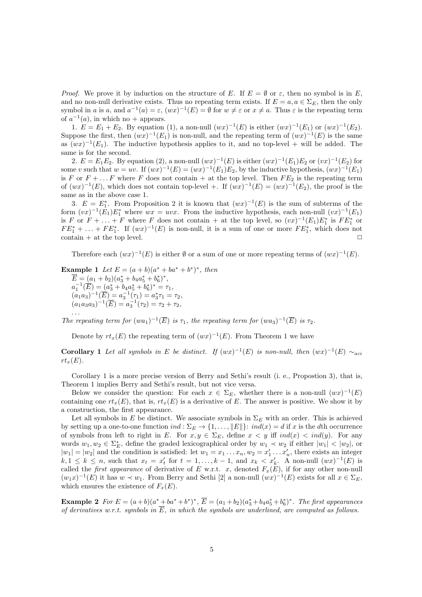*Proof.* We prove it by induction on the structure of *E*. If  $E = \emptyset$  or  $\varepsilon$ , then no symbol is in *E*, and no non-null derivative exists. Thus no repeating term exists. If  $E = a, a \in \Sigma_E$ , then the only symbol in *a* is *a*, and  $a^{-1}(a) = \varepsilon$ ,  $(wx)^{-1}(E) = \emptyset$  for  $w \neq \varepsilon$  or  $x \neq a$ . Thus  $\varepsilon$  is the repeating term of  $a^{-1}(a)$ , in which no + appears.

1.  $E = E_1 + E_2$ . By equation (1), a non-null  $(wx)^{-1}(E)$  is either  $(wx)^{-1}(E_1)$  or  $(wx)^{-1}(E_2)$ . Suppose the first, then  $(wx)^{-1}(E_1)$  is non-null, and the repeating term of  $(wx)^{-1}(E)$  is the same as  $(wx)^{-1}(E_1)$ . The inductive hypothesis applies to it, and no top-level + will be added. The same is for the second.

2.  $E = E_1 E_2$ . By equation (2), a non-null  $(wx)^{-1}(E)$  is either  $(wx)^{-1}(E_1)E_2$  or  $(vx)^{-1}(E_2)$  for some *v* such that  $w = uv$ . If  $(wx)^{-1}(E) = (wx)^{-1}(E_1)E_2$ , by the inductive hypothesis,  $(wx)^{-1}(E_1)$ is *F* or  $F + \ldots F$  where *F* does not contain  $+$  at the top level. Then  $FE_2$  is the repeating term of  $(wx)^{-1}(E)$ , which does not contain top-level +. If  $(wx)^{-1}(E) = (wx)^{-1}(E_2)$ , the proof is the same as in the above case 1.

3.  $E = E_1^*$ . From Proposition 2 it is known that  $(wx)^{-1}(E)$  is the sum of subterms of the form  $(vx)^{-1}(E_1)E_1^*$  where  $wx = uvx$ . From the inductive hypothesis, each non-null  $(vx)^{-1}(E_1)$ is *F* or  $F + \ldots + F$  where *F* does not contain + at the top level, so  $(vx)^{-1}(E_1)E_1^*$  is  $FE_1^*$  or  $FE_1^* + \ldots + FE_1^*$ . If  $(wx)^{-1}(E)$  is non-null, it is a sum of one or more  $FE_1^*$ , which does not  $\Box$   $\Box$   $\Box$ 

Therefore each  $(wx)^{-1}(E)$  is either  $\emptyset$  or a sum of one or more repeating terms of  $(wx)^{-1}(E)$ .

**Example 1** Let  $E = (a+b)(a^* + ba^* + b^*)^*$ , then  $E = (a_1 + b_2)(a_3^* + b_4a_5^* + b_6^*)^*,$  $a_1^{-1}(\overline{E}) = (a_3^* + b_4 a_5^* + b_6^*)^* = \tau_1$  $(a_1a_3)^{-1}(\overline{E}) = a_3^{-1}(\tau_1) = a_3^*\tau_1 = \tau_2,$  $(a_1a_3a_3)^{-1}(\overline{E}) = a_3^{-1}(\tau_2) = \tau_2 + \tau_2,$ *. . .*

*The repeating term for*  $(wa_1)^{-1}(\overline{E})$  *is*  $\tau_1$ *, the repeating term for*  $(wa_3)^{-1}(\overline{E})$  *is*  $\tau_2$ *.* 

Denote by  $rt_x(E)$  the repeating term of  $(wx)^{-1}(E)$ . From Theorem 1 we have

**Corollary 1** Let all symbols in E be distinct. If  $(wx)^{-1}(E)$  is non-null, then  $(wx)^{-1}(E) \sim_{aci}$  $rt_x(E)$ .

Corollary 1 is a more precise version of Berry and Sethi's result (i. e., Propostion 3), that is, Theorem 1 implies Berry and Sethi's result, but not vice versa.

Below we consider the question: For each  $x \in \Sigma_E$ , whether there is a non-null  $(wx)^{-1}(E)$ containing one  $rt_x(E)$ , that is,  $rt_x(E)$  is a derivative of E. The answer is positive. We show it by a construction, the first appearance.

Let all symbols in *E* be distinct. We associate symbols in  $\Sigma_E$  with an order. This is achieved by setting up a one-to-one function  $ind : \Sigma_E \to \{1, \ldots, ||E||\}$ :  $ind(x) = d$  if x is the dth occurrence of symbols from left to right in *E*. For  $x, y \in \Sigma_E$ , define  $x < y$  iff  $ind(x) < ind(y)$ . For any words  $w_1, w_2 \in \Sigma_E^*$ , define the graded lexicographical order by  $w_1 \prec w_2$  if either  $|w_1| \prec |w_2|$ , or  $|w_1| = |w_2|$  and the condition is satisfied: let  $w_1 = x_1 \dots x_n$ ,  $w_2 = x'_1 \dots x'_n$ , there exists an integer  $k, 1 \leq k \leq n$ , such that  $x_t = x'_t$  for  $t = 1, \ldots, k-1$ , and  $x_k < x'_k$ . A non-null  $(wx)^{-1}(E)$  is called the *first appearance* of derivative of *E* w.r.t. *x*, denoted  $F_x(E)$ , if for any other non-null  $(w_1x)^{-1}(E)$  it has  $w \prec w_1$ . From Berry and Sethi [2] a non-null  $(wx)^{-1}(E)$  exists for all  $x \in \Sigma_E$ , which ensures the existence of  $F_x(E)$ .

**Example 2** For  $E = (a+b)(a^*+ba^*+b^*)^*$ ,  $E = (a_1+b_2)(a_3^*+b_4a_5^*+b_6^*)^*$ . The first appearances *of derivatives w.r.t. symbols in*  $\overline{E}$ *, in which the symbols are underlined, are computed as follows.*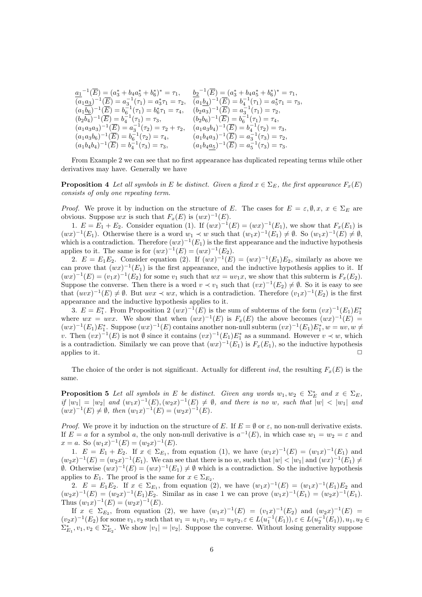| $a_1^{-1}(\overline{E}) = (a_3^* + b_4 a_5^* + b_6^*)^* = \tau_1,$                                                                      | $b_2^{-1}(\overline{E}) = (a_3^* + b_4 a_5^* + b_6^*)^* = \tau_1,$       |
|-----------------------------------------------------------------------------------------------------------------------------------------|--------------------------------------------------------------------------|
| $(a_1a_3)^{-1}(\overline{E}) = a_3^{-1}(\tau_1) = a_3^*\tau_1 = \tau_2,$                                                                | $(a_1b_4)^{-1}(\overline{E}) = b_4^{-1}(\tau_1) = a_5^*\tau_1 = \tau_3,$ |
| $(a_1b_6)^{-1}(\overline{E}) = b_6^{-1}(\tau_1) = b_6^*\tau_1 = \tau_4, \quad (b_2a_3)^{-1}(\overline{E}) = a_3^{-1}(\tau_1) = \tau_2,$ |                                                                          |
| $(b_2b_4)^{-1}(\overline{E}) = b_4^{-1}(\tau_1) = \tau_3,$                                                                              | $(b_2b_6)^{-1}(\overline{E}) = b_6^{-1}(\tau_1) = \tau_4,$               |
| $(a_1a_3a_3)^{-1}(\overline{E}) = a_3^{-1}(\tau_2) = \tau_2 + \tau_2,$                                                                  | $(a_1a_3b_4)^{-1}(\overline{E}) = b_4^{-1}(\tau_2) = \tau_3,$            |
| $(a_1a_3b_6)^{-1}(\overline{E}) = b_6^{-1}(\tau_2) = \tau_4,$                                                                           | $(a_1b_4a_3)^{-1}(\overline{E}) = a_3^{-1}(\tau_3) = \tau_2,$            |
| $(a_1b_4b_4)^{-1}(\overline{E}) = b_4^{-1}(\tau_3) = \tau_3,$                                                                           | $(a_1b_4a_5)^{-1}(\overline{E}) = a_5^{-1}(\tau_3) = \tau_3.$            |

From Example 2 we can see that no first appearance has duplicated repeating terms while other derivatives may have. Generally we have

**Proposition 4** *Let all symbols in E be distinct. Given a fixed*  $x \in \Sigma_F$ , the first appearance  $F_x(E)$ *consists of only one repeating term.*

*Proof.* We prove it by induction on the structure of *E*. The cases for  $E = \varepsilon, \emptyset, x, x \in \Sigma_E$  are obvious. Suppose *wx* is such that  $F_x(E)$  is  $(wx)^{-1}(E)$ .

1.  $E = E_1 + E_2$ . Consider equation (1). If  $(wx)^{-1}(E) = (wx)^{-1}(E_1)$ , we show that  $F_x(E_1)$  is  $(wx)^{-1}(E_1)$ . Otherwise there is a word  $w_1 \prec w$  such that  $(w_1x)^{-1}(E_1) \neq \emptyset$ . So  $(w_1x)^{-1}(E) \neq \emptyset$ , which is a contradiction. Therefore  $(wx)^{-1}(E_1)$  is the first appearance and the inductive hypothesis applies to it. The same is for  $(wx)^{-1}(E) = (wx)^{-1}(E_2)$ .

2.  $E = E_1 E_2$ . Consider equation (2). If  $(wx)^{-1}(E) = (wx)^{-1}(E_1)E_2$ , similarly as above we can prove that  $(wx)^{-1}(E_1)$  is the first appearance, and the inductive hypothesis applies to it. If  $(wx)^{-1}(E) = (v_1x)^{-1}(E_2)$  for some  $v_1$  such that  $wx = uv_1x$ , we show that this subterm is  $F_x(E_2)$ . Suppose the converse. Then there is a word  $v \prec v_1$  such that  $(vx)^{-1}(E_2) \neq \emptyset$ . So it is easy to see that  $(uvx)^{-1}(E) \neq \emptyset$ . But  $uvx \prec wx$ , which is a contradiction. Therefore  $(v_1x)^{-1}(E_2)$  is the first appearance and the inductive hypothesis applies to it.

3.  $E = E_1^*$ . From Proposition 2  $(wx)^{-1}(E)$  is the sum of subterms of the form  $(vx)^{-1}(E_1)E_1^*$ where  $wx = uvx$ . We show that when  $(wx)^{-1}(E)$  is  $F_x(E)$  the above becomes  $(wx)^{-1}(E)$  $(wx)^{-1}(E_1)E_1^*$ . Suppose  $(wx)^{-1}(E)$  contains another non-null subterm  $(vx)^{-1}(E_1)E_1^*, w = uv, w \neq$ *v*. Then  $(vx)^{-1}(E)$  is not  $\emptyset$  since it contains  $(vx)^{-1}(E_1)E_1^*$  as a summand. However  $v \prec w$ , which is a contradiction. Similarly we can prove that  $(wx)^{-1}(E_1)$  is  $F_x(E_1)$ , so the inductive hypothesis applies to it.  $\Box$ 

The choice of the order is not significant. Actually for different *ind*, the resulting  $F_x(E)$  is the same.

**Proposition 5** Let all symbols in E be distinct. Given any words  $w_1, w_2 \in \Sigma_E^*$  and  $x \in \Sigma_E$ , if  $|w_1| = |w_2|$  and  $(w_1x)^{-1}(E), (w_2x)^{-1}(E) \neq \emptyset$ , and there is no w, such that  $|w| < |w_1|$  and  $(wx)^{-1}(E) \neq \emptyset$ , then  $(w_1x)^{-1}(E) = (w_2x)^{-1}(E)$ .

*Proof.* We prove it by induction on the structure of *E*. If  $E = \emptyset$  or  $\varepsilon$ , no non-null derivative exists. If  $E = a$  for a symbol *a*, the only non-null derivative is  $a^{-1}(E)$ , in which case  $w_1 = w_2 = \varepsilon$  and  $x = a$ . So  $(w_1x)^{-1}(E) = (w_2x)^{-1}(E)$ .

1.  $E = E_1 + E_2$ . If  $x \in \Sigma_{E_1}$ , from equation (1), we have  $(w_1x)^{-1}(E) = (w_1x)^{-1}(E_1)$  and  $(w_2x)^{-1}(E)=(w_2x)^{-1}(E_1)$ . We can see that there is no w, such that  $|w|<|w_1|$  and  $(wx)^{-1}(E_1)\neq$ *Ø*. Otherwise  $(wx)^{-1}(E) = (wx)^{-1}(E_1) ≠ ∅$  which is a contradiction. So the inductive hypothesis applies to  $E_1$ . The proof is the same for  $x \in \Sigma_{E_2}$ .

2.  $E = E_1 E_2$ . If  $x \in \Sigma_{E_1}$ , from equation (2), we have  $(w_1 x)^{-1}(E) = (w_1 x)^{-1}(E_1)E_2$  and  $(w_2x)^{-1}(E) = (w_2x)^{-1}(E_1)E_2$ . Similar as in case 1 we can prove  $(w_1x)^{-1}(E_1) = (w_2x)^{-1}(E_1)$ . Thus  $(w_1x)^{-1}(E) = (w_2x)^{-1}(E)$ .

If  $x \in \Sigma_{E_2}$ , from equation (2), we have  $(w_1x)^{-1}(E) = (v_1x)^{-1}(E_2)$  and  $(w_2x)^{-1}(E) =$  $(v_2x)^{-1}(E_2)$  for some  $v_1, v_2$  such that  $w_1 = u_1v_1, w_2 = u_2v_2, \varepsilon \in L(u_1^{-1}(E_1)), \varepsilon \in L(u_2^{-1}(E_1)), u_1, u_2 \in L(u_1^{-1}(E_1))$  $\Sigma_{E_1}^*, v_1, v_2 \in \Sigma_{E_2}^*$ . We show  $|v_1| = |v_2|$ . Suppose the converse. Without losing generality suppose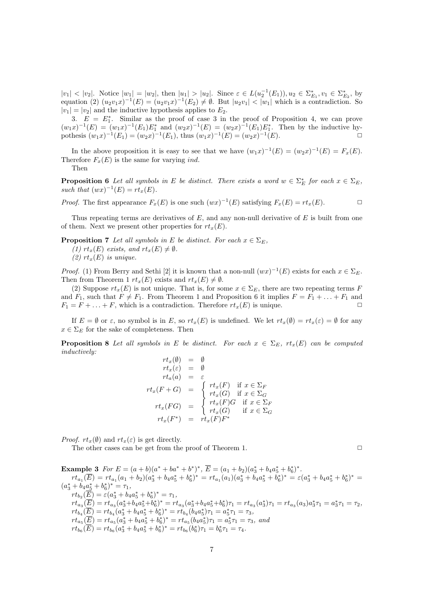$|v_1| < |v_2|$ . Notice  $|w_1| = |w_2|$ , then  $|u_1| > |u_2|$ . Since  $\varepsilon \in L(u_2^{-1}(E_1)), u_2 \in \Sigma_{E_1}^*, v_1 \in \Sigma_{E_2}^*$ , by equation (2)  $(u_2v_1x)^{-1}(E) = (u_2v_1x)^{-1}(E_2) \neq \emptyset$ . But  $|u_2v_1| < |w_1|$  which is a contradiction. So  $|v_1| = |v_2|$  and the inductive hypothesis applies to  $E_2$ .

3.  $E = E_1^*$ . Similar as the proof of case 3 in the proof of Proposition 4, we can prove  $(w_1x)^{-1}(E) = (w_1x)^{-1}(E_1)E_1^*$  and  $(w_2x)^{-1}(E) = (w_2x)^{-1}(E_1)E_1^*$ . Then by the inductive hypothesis  $(w_1x)^{-1}(E_1) = (w_2x)^{-1}(E_1)$ , thus  $(w_1x)^{-1}(E) = (w_2x)^{-1}(E)$ . <del></del>**□** 

In the above proposition it is easy to see that we have  $(w_1x)^{-1}(E) = (w_2x)^{-1}(E) = F_x(E)$ . Therefore  $F_x(E)$  is the same for varying *ind*.

Then

**Proposition 6** *Let all symbols in E be distinct. There exists a word*  $w \in \sum_{E}^{*}$  *for each*  $x \in \sum_{E}$ *, such that*  $(wx)^{-1}(E) = rt_x(E)$ .

*Proof.* The first appearance  $F_x(E)$  is one such  $(wx)^{-1}(E)$  satisfying  $F_x(E) = rt_x(E)$ .

Thus repeating terms are derivatives of *E*, and any non-null derivative of *E* is built from one of them. Next we present other properties for  $rt_r(E)$ .

**Proposition 7** *Let all symbols in E be distinct. For each*  $x \in \Sigma_E$ , *(1)*  $rt_x(E)$  *exists, and*  $rt_x(E) \neq \emptyset$ *.* 

*(2)*  $rt_x(E)$  *is unique.* 

*Proof.* (1) From Berry and Sethi [2] it is known that a non-null  $(wx)^{-1}(E)$  exists for each  $x \in \Sigma_E$ . Then from Theorem 1  $rt_x(E)$  exists and  $rt_x(E) \neq \emptyset$ .

(2) Suppose  $rt_x(E)$  is not unique. That is, for some  $x \in \Sigma_E$ , there are two repeating terms *F* and  $F_1$ , such that  $F \neq F_1$ . From Theorem 1 and Proposition 6 it implies  $F = F_1 + \ldots + F_1$  and  $F_1 = F + \ldots + F$ , which is a contradiction. Therefore  $rt_x(E)$  is unique.

If  $E = \emptyset$  or  $\varepsilon$ , no symbol is in *E*, so  $rt_x(E)$  is undefined. We let  $rt_x(\emptyset) = rt_x(\varepsilon) = \emptyset$  for any  $x \in \Sigma_E$  for the sake of completeness. Then

**Proposition 8** *Let all symbols in E be distinct. For each*  $x \in \Sigma_E$ ,  $rt_x(E)$  *can be computed inductively:*

$$
rt_x(\emptyset) = \emptyset
$$
  
\n
$$
rt_x(\varepsilon) = \emptyset
$$
  
\n
$$
rt_a(a) = \varepsilon
$$
  
\n
$$
rt_x(F+G) = \begin{cases} rt_x(F) & \text{if } x \in \Sigma_F \\ rt_x(G) & \text{if } x \in \Sigma_G \\ rt_x(G) & \text{if } x \in \Sigma_F \\ rt_x(G) & \text{if } x \in \Sigma_G \\ rt_x(G) & \text{if } x \in \Sigma_G \end{cases}
$$

*Proof.*  $rt_r(\emptyset)$  and  $rt_r(\varepsilon)$  is get directly.

The other cases can be get from the proof of Theorem 1.  $\Box$ 

**Example 3** For  $E = (a + b)(a^* + ba^* + b^*)^*$ ,  $E = (a_1 + b_2)(a_3^* + b_4a_5^* + b_6^*)^*$ .  $rt_{a_1}(E) = rt_{a_1}(a_1 + b_2)(a_3^* + b_4a_5^* + b_6^*)^* = rt_{a_1}(a_1)(a_3^* + b_4a_5^* + b_6^*)^* = \varepsilon(a_3^* + b_4a_5^* + b_6^*)^* =$  $(a_3^* + b_4 a_5^* + b_6^*)^* = \tau_1$ ,  $rt_{b_2}(E) = \varepsilon (a_3^* + b_4 a_5^* + b_6^*)^* = \tau_1,$  $rt_{a_3}(E) = rt_{a_3}(a_3^* + b_4 a_5^* + b_6^*)^* = rt_{a_3}(a_3^* + b_4 a_5^* + b_6^*)\tau_1 = rt_{a_3}(a_3^*)\tau_1 = rt_{a_3}(a_3)a_3^*\tau_1 = a_3^*\tau_1 = \tau_2,$  $rt_{b_4}(E) = rt_{b_4}(a_3^* + b_4a_5^* + b_6^*)^* = rt_{b_4}(b_4a_5^*)\tau_1 = a_5^*\tau_1 = \tau_3,$  $rt_{a_5}(E) = rt_{a_5}(a_3^* + b_4a_5^* + b_6^*)^* = rt_{a_5}(b_4a_5^*)\tau_1 = a_5^*\tau_1 = \tau_3$ , and  $rt_{b_6}(E) = rt_{b_6}(a_3^* + b_4a_5^* + b_6^*)^* = rt_{b_6}(b_6^*)\tau_1 = b_6^*\tau_1 = \tau_4.$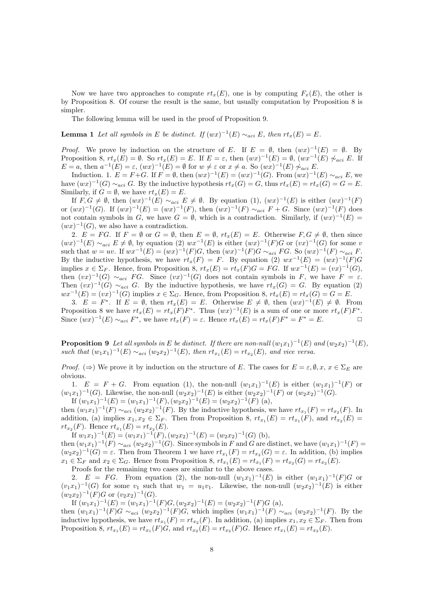Now we have two approaches to compute  $rt_x(E)$ , one is by computing  $F_x(E)$ , the other is by Proposition 8. Of course the result is the same, but usually computation by Proposition 8 is simpler.

The following lemma will be used in the proof of Proposition 9.

**Lemma 1** *Let all symbols in E be distinct.* If  $(wx)^{-1}(E) \sim_{aci} E$ , then  $rt_x(E) = E$ .

*Proof.* We prove by induction on the structure of *E*. If  $E = \emptyset$ , then  $(wx)^{-1}(E) = \emptyset$ . By Proposition 8,  $rt_x(E) = \emptyset$ . So  $rt_x(E) = E$ . If  $E = \varepsilon$ , then  $(wx)^{-1}(E) = \emptyset$ ,  $(wx^{-1}(E) \not\sim_{aci} E$ . If  $E = a$ , then  $a^{-1}(E) = \varepsilon$ ,  $(wx)^{-1}(E) = \emptyset$  for  $w \neq \varepsilon$  or  $x \neq a$ . So  $(wx)^{-1}(E) \not\sim_{aci} E$ .

Induction. 1. *E* = *F*+*G*. If *F* =  $\emptyset$ , then  $(wx)^{-1}(E) = (wx)^{-1}(G)$ . From  $(wx)^{-1}(E) \sim_{aci} E$ , we have  $(wx)^{-1}(G) \sim_{aci} G$ . By the inductive hypothesis  $rt_x(G) = G$ , thus  $rt_x(E) = rt_x(G) = G = E$ . Similarly, if  $G = \emptyset$ , we have  $rt_x(E) = E$ .

If  $F, G \neq \emptyset$ , then  $(wx)^{-1}(E) \sim_{aci} E \neq \emptyset$ . By equation  $(1), (wx)^{-1}(E)$  is either  $(wx)^{-1}(F)$ or  $(wx)^{-1}(G)$ . If  $(wx)^{-1}(E) = (wx)^{-1}(F)$ , then  $(wx)^{-1}(F) \sim_{aci} F + G$ . Since  $(wx)^{-1}(F)$  does not contain symbols in *G*, we have  $G = \emptyset$ , which is a contradiction. Similarly, if  $(wx)^{-1}(E) =$  $(wx)^{-1}(G)$ , we also have a contradiction.

2.  $E = FG$ . If  $F = \emptyset$  or  $G = \emptyset$ , then  $E = \emptyset$ ,  $rt_x(E) = E$ . Otherwise  $F, G \neq \emptyset$ , then since  $(wx)^{-1}(E) \sim_{aci} E \neq \emptyset$ , by equation (2)  $wx^{-1}(E)$  is either  $(wx)^{-1}(F)G$  or  $(vx)^{-1}(G)$  for some v such that  $w = uv$ . If  $wx^{-1}(E) = (wx)^{-1}(F)G$ , then  $(wx)^{-1}(F)G \sim_{aci} FG$ . So  $(wx)^{-1}(F) \sim_{aci} F$ . By the inductive hypothesis, we have  $rt_x(F) = F$ . By equation (2)  $wx^{-1}(E) = (wx)^{-1}(F)G$ implies  $x \in \Sigma_F$ . Hence, from Proposition 8,  $rt_x(E) = rt_x(F)G = FG$ . If  $wx^{-1}(E) = (vx)^{-1}(G)$ , then  $(vx)^{-1}(G) \sim_{aci} FG$ . Since  $(vx)^{-1}(G)$  does not contain symbols in *F*, we have  $F = \varepsilon$ . Then  $(vx)^{-1}(G) \sim_{aci} G$ . By the inductive hypothesis, we have  $rt_x(G) = G$ . By equation (2)  $wx^{-1}(E) = (vx)^{-1}(G)$  implies  $x \in \Sigma_G$ . Hence, from Proposition 8,  $rt_x(E) = rt_x(G) = G = E$ .

3.  $E = F^*$ . If  $E = \emptyset$ , then  $rt_x(E) = E$ . Otherwise  $E \neq \emptyset$ , then  $(wx)^{-1}(E) \neq \emptyset$ . From Proposition 8 we have  $rt_x(E) = rt_x(F)F^*$ . Thus  $(wx)^{-1}(E)$  is a sum of one or more  $rt_x(F)F^*$ . Since  $(wx)^{-1}(E) \sim_{aci} F^*$ , we have  $rt_x(F) = \varepsilon$ . Hence  $rt_x(E) = rt_x(F)F^* = F^* = E$ .

**Proposition 9** Let all symbols in E be distinct. If there are non-null  $(w_1x_1)^{-1}(E)$  and  $(w_2x_2)^{-1}(E)$ , *such that*  $(w_1x_1)^{-1}(E) \sim_{aci} (w_2x_2)^{-1}(E)$ , then  $rt_{x_1}(E) = rt_{x_2}(E)$ , and vice versa.

*Proof.* ( $\Rightarrow$ ) We prove it by induction on the structure of *E*. The cases for  $E = \varepsilon, \emptyset, x, x \in \Sigma_E$  are obvious.

1.  $E = F + G$ . From equation (1), the non-null  $(w_1x_1)^{-1}(E)$  is either  $(w_1x_1)^{-1}(F)$  or  $(w_1x_1)^{-1}(G)$ . Likewise, the non-null  $(w_2x_2)^{-1}(E)$  is either  $(w_2x_2)^{-1}(F)$  or  $(w_2x_2)^{-1}(G)$ .

If  $(w_1x_1)^{-1}(E) = (w_1x_1)^{-1}(F), (w_2x_2)^{-1}(E) = (w_2x_2)^{-1}(F)$  (a), then  $(w_1x_1)^{-1}(F) \sim_{aci} (w_2x_2)^{-1}(F)$ . By the inductive hypothesis, we have  $rt_{x_1}(F) = rt_{x_2}(F)$ . In addition, (a) implies  $x_1, x_2 \in \Sigma_F$ . Then from Proposition 8,  $rt_{x_1}(E) = rt_{x_1}(F)$ , and  $rt_{x_2}(E)$  $rt_{x_2}(F)$ . Hence  $rt_{x_1}(E) = rt_{x_2}(E)$ .

If  $w_1x_1)^{-1}(E) = (w_1x_1)^{-1}(F), (w_2x_2)^{-1}(E) = (w_2x_2)^{-1}(G)$  (b), then  $(w_1x_1)^{-1}(F) \sim_{aci} (w_2x_2)^{-1}(G)$ . Since symbols in *F* and *G* are distinct, we have  $(w_1x_1)^{-1}(F)$ 

 $(w_2x_2)^{-1}(G) = \varepsilon$ . Then from Theorem 1 we have  $rt_{x_1}(F) = rt_{x_2}(G) = \varepsilon$ . In addition, (b) implies  $x_1 \in \Sigma_F$  and  $x_2 \in \Sigma_G$ . Hence from Proposition 8,  $rt_{x_1}(E) = rt_{x_1}(F) = rt_{x_2}(G) = rt_{x_2}(E)$ . Proofs for the remaining two cases are similar to the above cases.

2.  $E = FG$ . From equation (2), the non-null  $(w_1x_1)^{-1}(E)$  is either  $(w_1x_1)^{-1}(F)G$  or  $(v_1x_1)^{-1}(G)$  for some  $v_1$  such that  $w_1 = u_1v_1$ . Likewise, the non-null  $(w_2x_2)^{-1}(E)$  is either  $(w_2x_2)^{-1}(F)G$  or  $(v_2x_2)^{-1}(G)$ .

If  $(w_1x_1)^{-1}(E) = (w_1x_1)^{-1}(F)G$ ,  $(w_2x_2)^{-1}(E) = (w_2x_2)^{-1}(F)G$  (a),

then  $(w_1x_1)^{-1}(F)G \sim_{aci} (w_2x_2)^{-1}(F)G$ , which implies  $(w_1x_1)^{-1}(F) \sim_{aci} (w_2x_2)^{-1}(F)$ . By the inductive hypothesis, we have  $rt_{x_1}(F) = rt_{x_2}(F)$ . In addition, (a) implies  $x_1, x_2 \in \Sigma_F$ . Then from Proposition 8,  $rt_{x_1}(E) = rt_{x_1}(F)G$ , and  $rt_{x_2}(E) = rt_{x_2}(F)G$ . Hence  $rt_{x_1}(E) = rt_{x_2}(E)$ .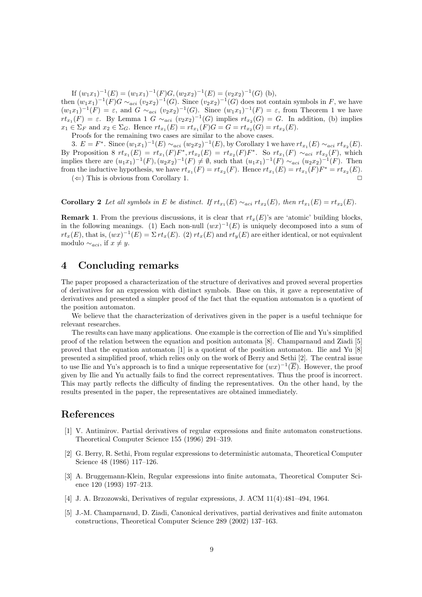If  $(w_1x_1)^{-1}(E) = (w_1x_1)^{-1}(F)G$ ,  $(w_2x_2)^{-1}(E) = (v_2x_2)^{-1}(G)$  (b),

then  $(w_1x_1)^{-1}(F)G \sim_{aci} (v_2x_2)^{-1}(G)$ . Since  $(v_2x_2)^{-1}(G)$  does not contain symbols in *F*, we have  $(w_1x_1)^{-1}(F) = \varepsilon$ , and  $G \sim_{aci} (v_2x_2)^{-1}(G)$ . Since  $(w_1x_1)^{-1}(F) = \varepsilon$ , from Theorem 1 we have  $rt_{x_1}(F) = \varepsilon$ . By Lemma 1 *G*  $\sim_{aci} (v_2x_2)^{-1}(G)$  implies  $rt_{x_2}(G) = G$ . In addition, (b) implies  $x_1 \in \Sigma_F$  and  $x_2 \in \Sigma_G$ . Hence  $rt_{x_1}(E) = rt_{x_1}(F)G = G = rt_{x_2}(G) = rt_{x_2}(E)$ .

Proofs for the remaining two cases are similar to the above cases.

3.  $E = F^*$ . Since  $(w_1x_1)^{-1}(E) \sim_{aci} (w_2x_2)^{-1}(E)$ , by Corollary 1 we have  $rt_{x_1}(E) \sim_{aci} rt_{x_2}(E)$ . By Proposition 8  $rt_{x_1}(E) = rt_{x_1}(F)F^*$ ,  $rt_{x_2}(E) = rt_{x_2}(F)F^*$ . So  $rt_{x_1}(F) \sim_{aci} rt_{x_2}(F)$ , which implies there are  $(u_1x_1)^{-1}(F), (u_2x_2)^{-1}(F) \neq \emptyset$ , such that  $(u_1x_1)^{-1}(F) \sim_{aci} (u_2x_2)^{-1}(F)$ . Then from the inductive hypothesis, we have  $rt_{x_1}(F) = rt_{x_2}(F)$ . Hence  $rt_{x_1}(E) = rt_{x_1}(F)F^* = rt_{x_2}(E)$ .

 $(\Leftarrow)$  This is obvious from Corollary 1.

**Corollary 2** Let all symbols in E be distinct. If  $rt_{x_1}(E) \sim_{aci} rt_{x_2}(E)$ , then  $rt_{x_1}(E) = rt_{x_2}(E)$ .

**Remark 1**. From the previous discussions, it is clear that  $rt_x(E)$ 's are 'atomic' building blocks, in the following meanings. (1) Each non-null  $(wx)^{-1}(E)$  is uniquely decomposed into a sum of  $rt_x(E)$ , that is,  $(wx)^{-1}(E) = \sum rt_x(E)$ . (2)  $rt_x(E)$  and  $rt_y(E)$  are either identical, or not equivalent modulo  $∼_{aci}$ , if  $x ≠ y$ .

## **4 Concluding remarks**

The paper proposed a characterization of the structure of derivatives and proved several properties of derivatives for an expression with distinct symbols. Base on this, it gave a representative of derivatives and presented a simpler proof of the fact that the equation automaton is a quotient of the position automaton.

We believe that the characterization of derivatives given in the paper is a useful technique for relevant researches.

The results can have many applications. One example is the correction of Ilie and Yu's simplified proof of the relation between the equation and position automata [8]. Champarnaud and Ziadi [5] proved that the equation automaton [1] is a quotient of the position automaton. Ilie and Yu [8] presented a simplified proof, which relies only on the work of Berry and Sethi [2]. The central issue to use Ilie and Yu's approach is to find a unique representative for  $(wx)^{-1}(\overline{E})$ . However, the proof given by Ilie and Yu actually fails to find the correct representatives. Thus the proof is incorrect. This may partly reflects the difficulty of finding the representatives. On the other hand, by the results presented in the paper, the representatives are obtained immediately.

## **References**

- [1] V. Antimirov. Partial derivatives of regular expressions and finite automaton constructions. Theoretical Computer Science 155 (1996) 291–319.
- [2] G. Berry, R. Sethi, From regular expressions to deterministic automata, Theoretical Computer Science 48 (1986) 117–126.
- [3] A. Bruggemann-Klein, Regular expressions into finite automata, Theoretical Computer Science 120 (1993) 197–213.
- [4] J. A. Brzozowski, Derivatives of regular expressions, J. ACM 11(4):481–494, 1964.
- [5] J.-M. Champarnaud, D. Ziadi, Canonical derivatives, partial derivatives and finite automaton constructions, Theoretical Computer Science 289 (2002) 137–163.